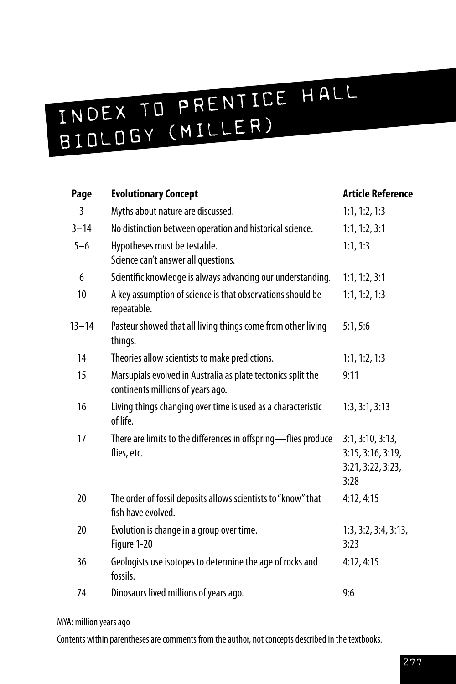# INDEX TO PRENTICE HALL B I O L O G Y ( M I L L E R )

| Page      | <b>Evolutionary Concept</b>                                                                       | <b>Article Reference</b>                                           |
|-----------|---------------------------------------------------------------------------------------------------|--------------------------------------------------------------------|
| 3         | Myths about nature are discussed.                                                                 | 1:1, 1:2, 1:3                                                      |
| $3 - 14$  | No distinction between operation and historical science.                                          | 1:1, 1:2, 3:1                                                      |
| $5 - 6$   | Hypotheses must be testable.<br>Science can't answer all questions.                               | 1:1, 1:3                                                           |
| 6         | Scientific knowledge is always advancing our understanding.                                       | 1:1, 1:2, 3:1                                                      |
| 10        | A key assumption of science is that observations should be<br>repeatable.                         | 1:1, 1:2, 1:3                                                      |
| $13 - 14$ | Pasteur showed that all living things come from other living<br>things.                           | 5:1, 5:6                                                           |
| 14        | Theories allow scientists to make predictions.                                                    | 1:1, 1:2, 1:3                                                      |
| 15        | Marsupials evolved in Australia as plate tectonics split the<br>continents millions of years ago. | 9:11                                                               |
| 16        | Living things changing over time is used as a characteristic<br>of life.                          | 1:3, 3:1, 3:13                                                     |
| 17        | There are limits to the differences in offspring-flies produce<br>flies, etc.                     | 3:1, 3:10, 3:13,<br>3:15, 3:16, 3:19,<br>3:21, 3:22, 3:23,<br>3:28 |
| 20        | The order of fossil deposits allows scientists to "know" that<br>fish have evolved.               | 4:12, 4:15                                                         |
| 20        | Evolution is change in a group over time.<br>Figure 1-20                                          | 1:3, 3:2, 3:4, 3:13,<br>3:23                                       |
| 36        | Geologists use isotopes to determine the age of rocks and<br>fossils.                             | 4:12, 4:15                                                         |
| 74        | Dinosaurs lived millions of years ago.                                                            | 9:6                                                                |

#### MYA: million years ago

Contents within parentheses are comments from the author, not concepts described in the textbooks.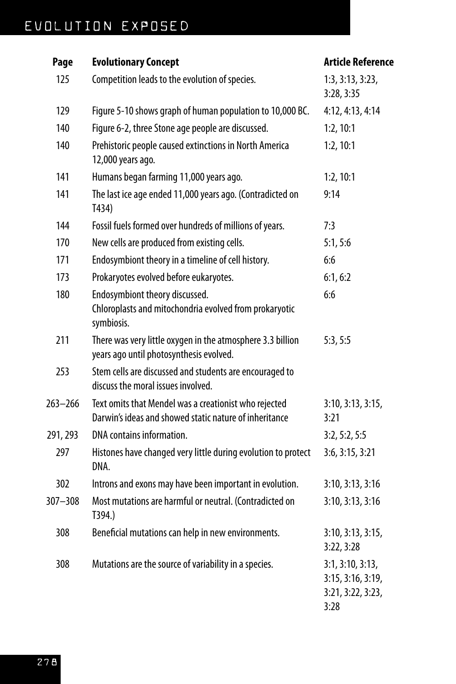| Page        | <b>Evolutionary Concept</b>                                                                                     | <b>Article Reference</b>                                           |
|-------------|-----------------------------------------------------------------------------------------------------------------|--------------------------------------------------------------------|
| 125         | Competition leads to the evolution of species.                                                                  | 1:3, 3:13, 3:23,<br>3:28, 3:35                                     |
| 129         | Figure 5-10 shows graph of human population to 10,000 BC.                                                       | 4:12, 4:13, 4:14                                                   |
| 140         | Figure 6-2, three Stone age people are discussed.                                                               | 1:2, 10:1                                                          |
| 140         | Prehistoric people caused extinctions in North America<br>12,000 years ago.                                     | 1:2, 10:1                                                          |
| 141         | Humans began farming 11,000 years ago.                                                                          | 1:2, 10:1                                                          |
| 141         | The last ice age ended 11,000 years ago. (Contradicted on<br>T434)                                              | 9:14                                                               |
| 144         | Fossil fuels formed over hundreds of millions of years.                                                         | 7:3                                                                |
| 170         | New cells are produced from existing cells.                                                                     | 5:1, 5:6                                                           |
| 171         | Endosymbiont theory in a timeline of cell history.                                                              | 6:6                                                                |
| 173         | Prokaryotes evolved before eukaryotes.                                                                          | 6:1, 6:2                                                           |
| 180         | Endosymbiont theory discussed.<br>Chloroplasts and mitochondria evolved from prokaryotic<br>symbiosis.          | 6:6                                                                |
| 211         | There was very little oxygen in the atmosphere 3.3 billion<br>years ago until photosynthesis evolved.           | 5:3, 5:5                                                           |
| 253         | Stem cells are discussed and students are encouraged to<br>discuss the moral issues involved.                   |                                                                    |
| $263 - 266$ | Text omits that Mendel was a creationist who rejected<br>Darwin's ideas and showed static nature of inheritance | 3:10, 3:13, 3:15,<br>3:21                                          |
| 291, 293    | DNA contains information.                                                                                       | 3:2, 5:2, 5:5                                                      |
| 297         | Histones have changed very little during evolution to protect<br>DNA.                                           | 3:6, 3:15, 3:21                                                    |
| 302         | Introns and exons may have been important in evolution.                                                         | 3:10, 3:13, 3:16                                                   |
| $307 - 308$ | Most mutations are harmful or neutral. (Contradicted on<br>T394.)                                               | 3:10, 3:13, 3:16                                                   |
| 308         | Beneficial mutations can help in new environments.                                                              | 3:10, 3:13, 3:15,<br>3:22,3:28                                     |
| 308         | Mutations are the source of variability in a species.                                                           | 3:1, 3:10, 3:13,<br>3:15, 3:16, 3:19,<br>3:21, 3:22, 3:23,<br>3:28 |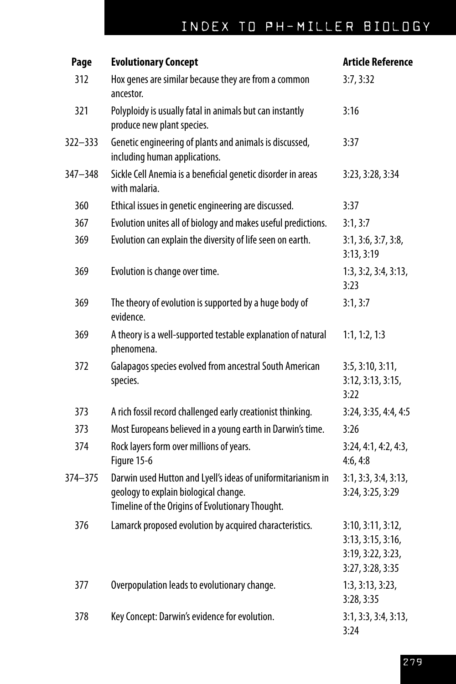| Page    | <b>Evolutionary Concept</b>                                                                                                                               | <b>Article Reference</b>                                                        |
|---------|-----------------------------------------------------------------------------------------------------------------------------------------------------------|---------------------------------------------------------------------------------|
| 312     | Hox genes are similar because they are from a common<br>ancestor.                                                                                         | 3:7,3:32                                                                        |
| 321     | Polyploidy is usually fatal in animals but can instantly<br>produce new plant species.                                                                    | 3:16                                                                            |
| 322-333 | Genetic engineering of plants and animals is discussed,<br>including human applications.                                                                  | 3:37                                                                            |
| 347-348 | Sickle Cell Anemia is a beneficial genetic disorder in areas<br>with malaria.                                                                             | 3:23, 3:28, 3:34                                                                |
| 360     | Ethical issues in genetic engineering are discussed.                                                                                                      | 3:37                                                                            |
| 367     | Evolution unites all of biology and makes useful predictions.                                                                                             | 3:1, 3:7                                                                        |
| 369     | Evolution can explain the diversity of life seen on earth.                                                                                                | 3:1, 3:6, 3:7, 3:8,<br>3:13, 3:19                                               |
| 369     | Evolution is change over time.                                                                                                                            | 1:3, 3:2, 3:4, 3:13,<br>3:23                                                    |
| 369     | The theory of evolution is supported by a huge body of<br>evidence.                                                                                       | 3:1, 3:7                                                                        |
| 369     | A theory is a well-supported testable explanation of natural<br>phenomena.                                                                                | 1:1, 1:2, 1:3                                                                   |
| 372     | Galapagos species evolved from ancestral South American<br>species.                                                                                       | 3:5, 3:10, 3:11,<br>3:12, 3:13, 3:15,<br>3:22                                   |
| 373     | A rich fossil record challenged early creationist thinking.                                                                                               | 3:24, 3:35, 4:4, 4:5                                                            |
| 373     | Most Europeans believed in a young earth in Darwin's time.                                                                                                | 3:26                                                                            |
| 374     | Rock layers form over millions of years.<br>Figure 15-6                                                                                                   | 3:24, 4:1, 4:2, 4:3,<br>4:6, 4:8                                                |
| 374-375 | Darwin used Hutton and Lyell's ideas of uniformitarianism in<br>geology to explain biological change.<br>Timeline of the Origins of Evolutionary Thought. | 3:1, 3:3, 3:4, 3:13,<br>3:24, 3:25, 3:29                                        |
| 376     | Lamarck proposed evolution by acquired characteristics.                                                                                                   | 3:10, 3:11, 3:12,<br>3:13, 3:15, 3:16,<br>3:19, 3:22, 3:23,<br>3:27, 3:28, 3:35 |
| 377     | Overpopulation leads to evolutionary change.                                                                                                              | 1:3, 3:13, 3:23,<br>3:28, 3:35                                                  |
| 378     | Key Concept: Darwin's evidence for evolution.                                                                                                             | 3:1, 3:3, 3:4, 3:13,<br>3:24                                                    |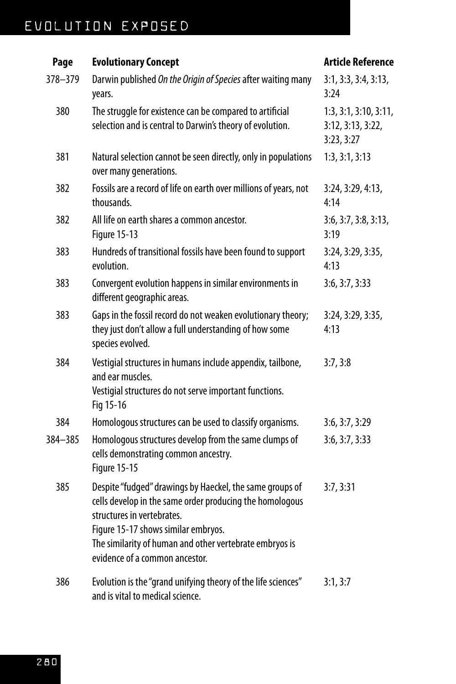#### EVOLUTION EXPOSED

#### **Page Evolutionary Concept Article Reference** 378–379 Darwin published *On the Origin of Species* after waiting many years. 3:1, 3:3, 3:4, 3:13, 3:24 380 The struggle for existence can be compared to artificial selection and is central to Darwin's theory of evolution. 1:3, 3:1, 3:10, 3:11, 3:12, 3:13, 3:22, 3:23, 3:27 381 Natural selection cannot be seen directly, only in populations over many generations. 1:3, 3:1, 3:13 382 Fossils are a record of life on earth over millions of years, not thousands. 3:24, 3:29, 4:13, 4:14 382 All life on earth shares a common ancestor. Figure 15-13 3:6, 3:7, 3:8, 3:13, 3:19 383 Hundreds of transitional fossils have been found to support evolution. 3:24, 3:29, 3:35, 4:13 383 Convergent evolution happens in similar environments in different geographic areas. 3:6, 3:7, 3:33 383 Gaps in the fossil record do not weaken evolutionary theory; they just don't allow a full understanding of how some species evolved. 3:24, 3:29, 3:35, 4:13 384 Vestigial structures in humans include appendix, tailbone, and ear muscles. Vestigial structures do not serve important functions. Fig 15-16 3:7, 3:8 384 Homologous structures can be used to classify organisms. 3:6, 3:7, 3:29 384–385 Homologous structures develop from the same clumps of cells demonstrating common ancestry. Figure 15-15 3:6, 3:7, 3:33 385 Despite "fudged" drawings by Haeckel, the same groups of cells develop in the same order producing the homologous structures in vertebrates. Figure 15-17 shows similar embryos. The similarity of human and other vertebrate embryos is evidence of a common ancestor. 3:7, 3:31 386 Evolution is the "grand unifying theory of the life sciences" and is vital to medical science. 3:1, 3:7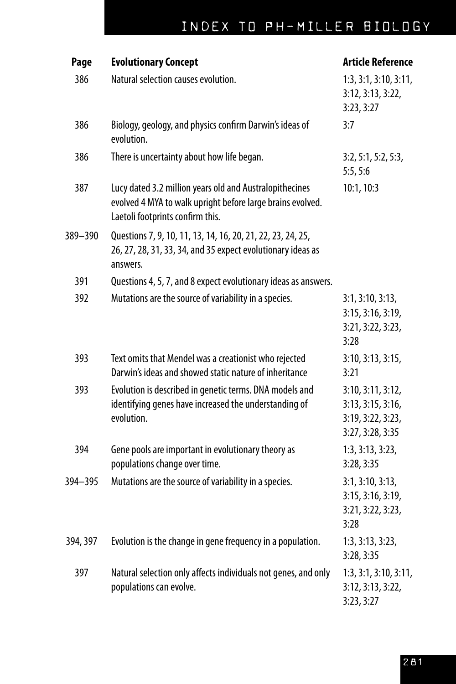### INDEX TO PH-MILLER BIOLOGY

| Page     | <b>Evolutionary Concept</b>                                                                                                                               | <b>Article Reference</b>                                                        |
|----------|-----------------------------------------------------------------------------------------------------------------------------------------------------------|---------------------------------------------------------------------------------|
| 386      | Natural selection causes evolution.                                                                                                                       | 1:3, 3:1, 3:10, 3:11,<br>3:12, 3:13, 3:22,<br>3:23,3:27                         |
| 386      | Biology, geology, and physics confirm Darwin's ideas of<br>evolution.                                                                                     | 3:7                                                                             |
| 386      | There is uncertainty about how life began.                                                                                                                | 3:2, 5:1, 5:2, 5:3,<br>5:5, 5:6                                                 |
| 387      | Lucy dated 3.2 million years old and Australopithecines<br>evolved 4 MYA to walk upright before large brains evolved.<br>Laetoli footprints confirm this. | 10:1, 10:3                                                                      |
| 389-390  | Questions 7, 9, 10, 11, 13, 14, 16, 20, 21, 22, 23, 24, 25,<br>26, 27, 28, 31, 33, 34, and 35 expect evolutionary ideas as<br>answers.                    |                                                                                 |
| 391      | Questions 4, 5, 7, and 8 expect evolutionary ideas as answers.                                                                                            |                                                                                 |
| 392      | Mutations are the source of variability in a species.                                                                                                     | 3:1, 3:10, 3:13,<br>3:15, 3:16, 3:19,<br>3:21, 3:22, 3:23,<br>3:28              |
| 393      | Text omits that Mendel was a creationist who rejected<br>Darwin's ideas and showed static nature of inheritance                                           | 3:10, 3:13, 3:15,<br>3:21                                                       |
| 393      | Evolution is described in genetic terms. DNA models and<br>identifying genes have increased the understanding of<br>evolution.                            | 3:10, 3:11, 3:12,<br>3:13, 3:15, 3:16,<br>3:19, 3:22, 3:23,<br>3:27, 3:28, 3:35 |
| 394      | Gene pools are important in evolutionary theory as<br>populations change over time.                                                                       | 1:3, 3:13, 3:23,<br>3:28, 3:35                                                  |
| 394-395  | Mutations are the source of variability in a species.                                                                                                     | 3:1, 3:10, 3:13,<br>3:15, 3:16, 3:19,<br>3:21, 3:22, 3:23,<br>3:28.             |
| 394, 397 | Evolution is the change in gene frequency in a population.                                                                                                | 1:3, 3:13, 3:23,<br>3:28, 3:35                                                  |
| 397      | Natural selection only affects individuals not genes, and only<br>populations can evolve.                                                                 | 1:3, 3:1, 3:10, 3:11,<br>3:12, 3:13, 3:22,<br>3:23,3:27                         |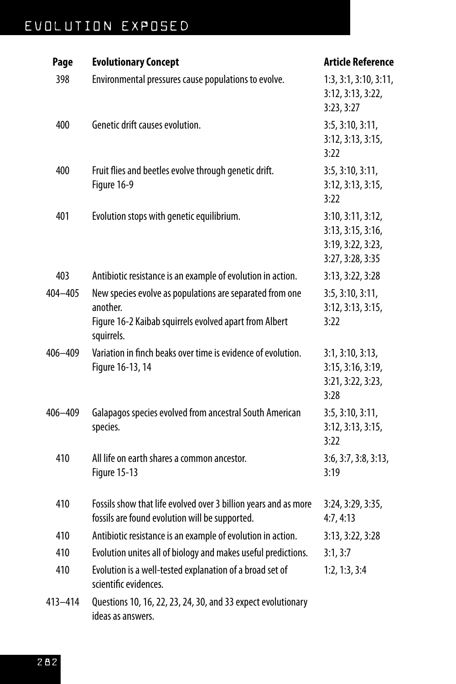| Page        | <b>Evolutionary Concept</b>                                                                                                                  | <b>Article Reference</b>                                                        |
|-------------|----------------------------------------------------------------------------------------------------------------------------------------------|---------------------------------------------------------------------------------|
| 398         | Environmental pressures cause populations to evolve.                                                                                         | 1:3, 3:1, 3:10, 3:11,<br>3:12, 3:13, 3:22,<br>3:23,3:27                         |
| 400         | Genetic drift causes evolution.                                                                                                              | 3:5, 3:10, 3:11,<br>3:12, 3:13, 3:15,<br>3:22                                   |
| 400         | Fruit flies and beetles evolve through genetic drift.<br>Figure 16-9                                                                         | 3:5, 3:10, 3:11,<br>3:12, 3:13, 3:15,<br>3:22                                   |
| 401         | Evolution stops with genetic equilibrium.                                                                                                    | 3:10, 3:11, 3:12,<br>3:13, 3:15, 3:16,<br>3:19, 3:22, 3:23,<br>3:27, 3:28, 3:35 |
| 403         | Antibiotic resistance is an example of evolution in action.                                                                                  | 3:13, 3:22, 3:28                                                                |
| 404-405     | New species evolve as populations are separated from one<br>another.<br>Figure 16-2 Kaibab squirrels evolved apart from Albert<br>squirrels. | 3:5, 3:10, 3:11,<br>3:12, 3:13, 3:15,<br>3:22                                   |
| $406 - 409$ | Variation in finch beaks over time is evidence of evolution.<br>Figure 16-13, 14                                                             | 3:1, 3:10, 3:13,<br>3:15, 3:16, 3:19,<br>3:21, 3:22, 3:23,<br>3:28              |
| 406-409     | Galapagos species evolved from ancestral South American<br>species.                                                                          | 3:5, 3:10, 3:11,<br>3:12, 3:13, 3:15,<br>3:22                                   |
| 410         | All life on earth shares a common ancestor.<br>Figure 15-13                                                                                  | 3:6, 3:7, 3:8, 3:13,<br>3:19                                                    |
| 410         | Fossils show that life evolved over 3 billion years and as more<br>fossils are found evolution will be supported.                            | 3:24, 3:29, 3:35,<br>4:7, 4:13                                                  |
| 410         | Antibiotic resistance is an example of evolution in action.                                                                                  | 3:13, 3:22, 3:28                                                                |
| 410         | Evolution unites all of biology and makes useful predictions.                                                                                | 3:1, 3:7                                                                        |
| 410         | Evolution is a well-tested explanation of a broad set of<br>scientific evidences.                                                            | 1:2, 1:3, 3:4                                                                   |
| 413-414     | Questions 10, 16, 22, 23, 24, 30, and 33 expect evolutionary<br>ideas as answers.                                                            |                                                                                 |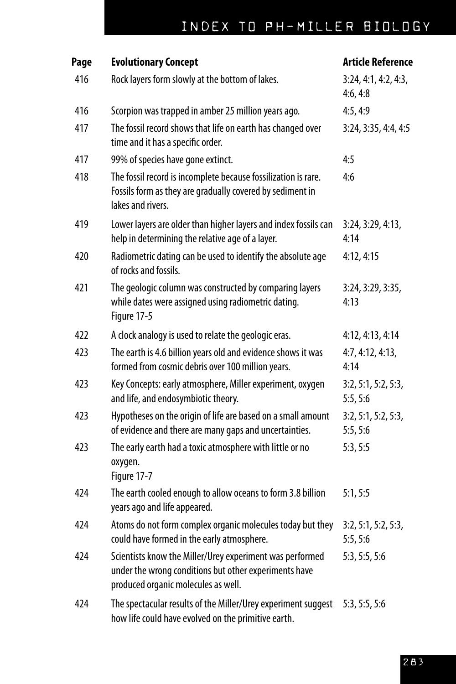### INDEX TO PH-MILLER BIOLOGY

| Page | <b>Evolutionary Concept</b>                                                                                                                              | <b>Article Reference</b>         |
|------|----------------------------------------------------------------------------------------------------------------------------------------------------------|----------------------------------|
| 416  | Rock layers form slowly at the bottom of lakes.                                                                                                          | 3:24, 4:1, 4:2, 4:3,<br>4:6, 4:8 |
| 416  | Scorpion was trapped in amber 25 million years ago.                                                                                                      | 4:5, 4:9                         |
| 417  | The fossil record shows that life on earth has changed over<br>time and it has a specific order.                                                         | 3:24, 3:35, 4:4, 4:5             |
| 417  | 99% of species have gone extinct.                                                                                                                        | 4:5                              |
| 418  | The fossil record is incomplete because fossilization is rare.<br>Fossils form as they are gradually covered by sediment in<br>lakes and rivers.         | 4:6                              |
| 419  | Lower layers are older than higher layers and index fossils can<br>help in determining the relative age of a layer.                                      | 3:24, 3:29, 4:13,<br>4:14        |
| 420  | Radiometric dating can be used to identify the absolute age<br>of rocks and fossils.                                                                     | 4:12, 4:15                       |
| 421  | The geologic column was constructed by comparing layers<br>while dates were assigned using radiometric dating.<br>Figure 17-5                            | 3:24, 3:29, 3:35,<br>4:13        |
| 422  | A clock analogy is used to relate the geologic eras.                                                                                                     | 4:12, 4:13, 4:14                 |
| 423  | The earth is 4.6 billion years old and evidence shows it was<br>formed from cosmic debris over 100 million years.                                        | 4:7, 4:12, 4:13,<br>4:14         |
| 423  | Key Concepts: early atmosphere, Miller experiment, oxygen<br>and life, and endosymbiotic theory.                                                         | 3:2, 5:1, 5:2, 5:3,<br>5:5, 5:6  |
| 423  | Hypotheses on the origin of life are based on a small amount<br>of evidence and there are many gaps and uncertainties.                                   | 3:2, 5:1, 5:2, 5:3,<br>5:5, 5:6  |
| 423  | The early earth had a toxic atmosphere with little or no<br>oxygen.<br>Figure 17-7                                                                       | 5:3, 5:5                         |
| 424  | The earth cooled enough to allow oceans to form 3.8 billion<br>years ago and life appeared.                                                              | 5:1, 5:5                         |
| 424  | Atoms do not form complex organic molecules today but they<br>could have formed in the early atmosphere.                                                 | 3:2, 5:1, 5:2, 5:3,<br>5:5, 5:6  |
| 424  | Scientists know the Miller/Urey experiment was performed<br>under the wrong conditions but other experiments have<br>produced organic molecules as well. | 5:3, 5:5, 5:6                    |
| 424  | The spectacular results of the Miller/Urey experiment suggest<br>how life could have evolved on the primitive earth.                                     | 5:3, 5:5, 5:6                    |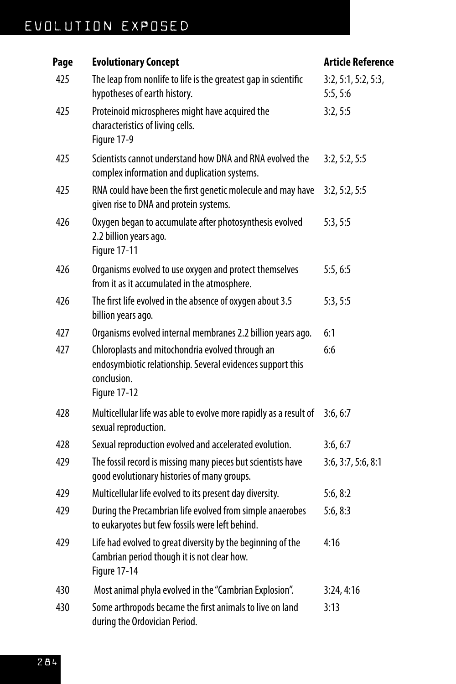| Page | <b>Evolutionary Concept</b>                                                                                                                          | <b>Article Reference</b>        |
|------|------------------------------------------------------------------------------------------------------------------------------------------------------|---------------------------------|
| 425  | The leap from nonlife to life is the greatest gap in scientific<br>hypotheses of earth history.                                                      | 3:2, 5:1, 5:2, 5:3,<br>5:5, 5:6 |
| 425  | Proteinoid microspheres might have acquired the<br>characteristics of living cells.<br>Figure 17-9                                                   | 3:2, 5:5                        |
| 425  | Scientists cannot understand how DNA and RNA evolved the<br>complex information and duplication systems.                                             | 3:2, 5:2, 5:5                   |
| 425  | RNA could have been the first genetic molecule and may have<br>given rise to DNA and protein systems.                                                | 3:2, 5:2, 5:5                   |
| 426  | Oxygen began to accumulate after photosynthesis evolved<br>2.2 billion years ago.<br><b>Figure 17-11</b>                                             | 5:3, 5:5                        |
| 426  | Organisms evolved to use oxygen and protect themselves<br>from it as it accumulated in the atmosphere.                                               | 5:5,6:5                         |
| 426  | The first life evolved in the absence of oxygen about 3.5<br>billion years ago.                                                                      | 5:3, 5:5                        |
| 427  | Organisms evolved internal membranes 2.2 billion years ago.                                                                                          | 6:1                             |
| 427  | Chloroplasts and mitochondria evolved through an<br>endosymbiotic relationship. Several evidences support this<br>conclusion.<br><b>Figure 17-12</b> | 6:6                             |
| 428  | Multicellular life was able to evolve more rapidly as a result of<br>sexual reproduction.                                                            | 3:6, 6:7                        |
| 428  | Sexual reproduction evolved and accelerated evolution.                                                                                               | 3:6, 6:7                        |
| 429  | The fossil record is missing many pieces but scientists have<br>good evolutionary histories of many groups.                                          | 3:6, 3:7, 5:6, 8:1              |
| 429  | Multicellular life evolved to its present day diversity.                                                                                             | 5:6, 8:2                        |
| 429  | During the Precambrian life evolved from simple anaerobes<br>to eukaryotes but few fossils were left behind.                                         | 5:6, 8:3                        |
| 429  | Life had evolved to great diversity by the beginning of the<br>Cambrian period though it is not clear how.<br>Figure 17-14                           | 4:16                            |
| 430  | Most animal phyla evolved in the "Cambrian Explosion".                                                                                               | 3:24, 4:16                      |
| 430  | Some arthropods became the first animals to live on land<br>during the Ordovician Period.                                                            | 3:13                            |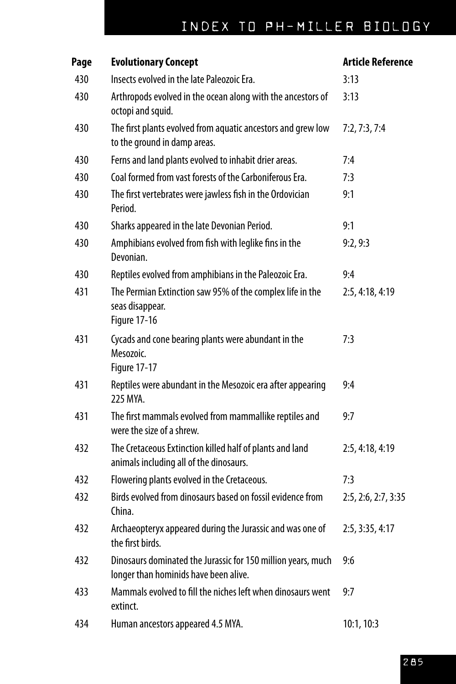| Page | <b>Evolutionary Concept</b>                                                                           | <b>Article Reference</b> |
|------|-------------------------------------------------------------------------------------------------------|--------------------------|
| 430  | Insects evolved in the late Paleozoic Era.                                                            | 3:13                     |
| 430  | Arthropods evolved in the ocean along with the ancestors of<br>octopi and squid.                      | 3:13                     |
| 430  | The first plants evolved from aquatic ancestors and grew low<br>to the ground in damp areas.          | 7:2, 7:3, 7:4            |
| 430  | Ferns and land plants evolved to inhabit drier areas.                                                 | 7:4                      |
| 430  | Coal formed from vast forests of the Carboniferous Era.                                               | 7:3                      |
| 430  | The first vertebrates were jawless fish in the Ordovician<br>Period.                                  | 9:1                      |
| 430  | Sharks appeared in the late Devonian Period.                                                          | 9:1                      |
| 430  | Amphibians evolved from fish with leglike fins in the<br>Devonian.                                    | 9:2,9:3                  |
| 430  | Reptiles evolved from amphibians in the Paleozoic Era.                                                | 9:4                      |
| 431  | The Permian Extinction saw 95% of the complex life in the<br>seas disappear.<br><b>Figure 17-16</b>   | 2:5, 4:18, 4:19          |
| 431  | Cycads and cone bearing plants were abundant in the<br>Mesozoic.<br><b>Figure 17-17</b>               | 7:3                      |
| 431  | Reptiles were abundant in the Mesozoic era after appearing<br>225 MYA.                                | 9:4                      |
| 431  | The first mammals evolved from mammallike reptiles and<br>were the size of a shrew.                   | 9:7                      |
| 432  | The Cretaceous Extinction killed half of plants and land<br>animals including all of the dinosaurs.   | 2:5, 4:18, 4:19          |
| 432  | Flowering plants evolved in the Cretaceous.                                                           | 7:3                      |
| 432  | Birds evolved from dinosaurs based on fossil evidence from<br>China.                                  | 2:5, 2:6, 2:7, 3:35      |
| 432  | Archaeopteryx appeared during the Jurassic and was one of<br>the first birds.                         | 2:5, 3:35, 4:17          |
| 432  | Dinosaurs dominated the Jurassic for 150 million years, much<br>longer than hominids have been alive. | 9:6                      |
| 433  | Mammals evolved to fill the niches left when dinosaurs went<br>extinct.                               | 9:7                      |
| 434  | Human ancestors appeared 4.5 MYA.                                                                     | 10:1, 10:3               |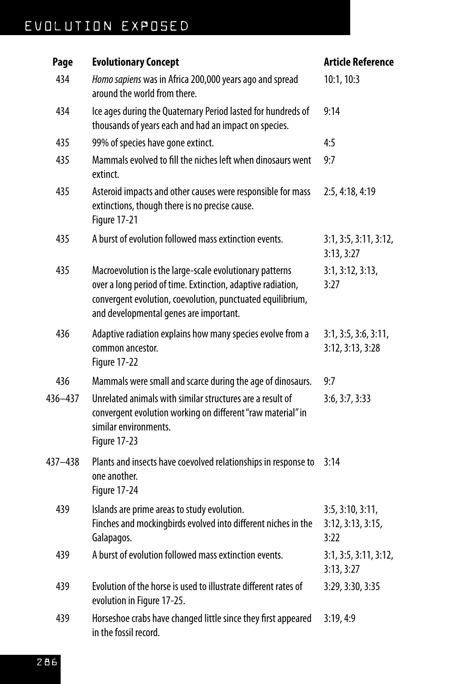| Page    | <b>Evolutionary Concept</b>                                                                                                                                                                                                    | <b>Article Reference</b>                      |
|---------|--------------------------------------------------------------------------------------------------------------------------------------------------------------------------------------------------------------------------------|-----------------------------------------------|
| 434     | Homo sapiens was in Africa 200,000 years ago and spread<br>around the world from there.                                                                                                                                        | 10:1, 10:3                                    |
| 434     | Ice ages during the Quaternary Period lasted for hundreds of<br>thousands of years each and had an impact on species.                                                                                                          | 9:14                                          |
| 435     | 99% of species have gone extinct.                                                                                                                                                                                              | 4:5                                           |
| 435     | Mammals evolved to fill the niches left when dinosaurs went<br>extinct.                                                                                                                                                        | 9:7                                           |
| 435     | Asteroid impacts and other causes were responsible for mass<br>extinctions, though there is no precise cause.<br>Figure 17-21                                                                                                  | 2:5, 4:18, 4:19                               |
| 435     | A burst of evolution followed mass extinction events.                                                                                                                                                                          | 3:1, 3:5, 3:11, 3:12,<br>3:13, 3:27           |
| 435     | Macroevolution is the large-scale evolutionary patterns<br>over a long period of time. Extinction, adaptive radiation,<br>convergent evolution, coevolution, punctuated equilibrium,<br>and developmental genes are important. | 3:1, 3:12, 3:13,<br>3:27                      |
| 436     | Adaptive radiation explains how many species evolve from a<br>common ancestor.<br>Figure 17-22                                                                                                                                 | 3:1, 3:5, 3:6, 3:11,<br>3:12, 3:13, 3:28      |
| 436     | Mammals were small and scarce during the age of dinosaurs.                                                                                                                                                                     | 9:7                                           |
| 436-437 | Unrelated animals with similar structures are a result of<br>convergent evolution working on different "raw material" in<br>similar environments.<br>Figure 17-23                                                              | 3:6, 3:7, 3:33                                |
| 437-438 | Plants and insects have coevolved relationships in response to<br>one another.<br>Figure 17-24                                                                                                                                 | 3:14                                          |
| 439     | Islands are prime areas to study evolution.<br>Finches and mockingbirds evolved into different niches in the<br>Galapagos.                                                                                                     | 3:5, 3:10, 3:11,<br>3:12, 3:13, 3:15,<br>3:22 |
| 439     | A burst of evolution followed mass extinction events.                                                                                                                                                                          | 3:1, 3:5, 3:11, 3:12,<br>3:13, 3:27           |
| 439     | Evolution of the horse is used to illustrate different rates of<br>evolution in Figure 17-25.                                                                                                                                  | 3:29, 3:30, 3:35                              |
| 439     | Horseshoe crabs have changed little since they first appeared<br>in the fossil record.                                                                                                                                         | 3:19,4:9                                      |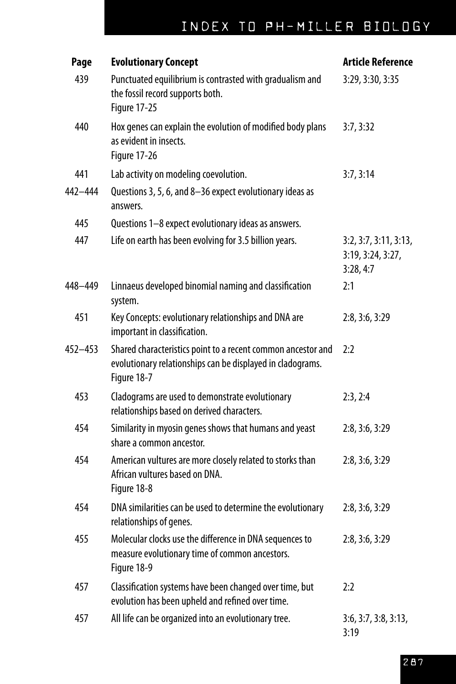| Page        | <b>Evolutionary Concept</b>                                                                                                               | <b>Article Reference</b>                                |
|-------------|-------------------------------------------------------------------------------------------------------------------------------------------|---------------------------------------------------------|
| 439         | Punctuated equilibrium is contrasted with gradualism and<br>the fossil record supports both.<br><b>Figure 17-25</b>                       | 3:29, 3:30, 3:35                                        |
| 440         | Hox genes can explain the evolution of modified body plans<br>as evident in insects.<br>Figure 17-26                                      | 3:7,3:32                                                |
| 441         | Lab activity on modeling coevolution.                                                                                                     | 3:7, 3:14                                               |
| 442-444     | Questions 3, 5, 6, and 8-36 expect evolutionary ideas as<br>answers.                                                                      |                                                         |
| 445         | Questions 1-8 expect evolutionary ideas as answers.                                                                                       |                                                         |
| 447         | Life on earth has been evolving for 3.5 billion years.                                                                                    | 3:2, 3:7, 3:11, 3:13,<br>3:19, 3:24, 3:27,<br>3:28, 4:7 |
| 448-449     | Linnaeus developed binomial naming and classification<br>system.                                                                          | 2:1                                                     |
| 451         | Key Concepts: evolutionary relationships and DNA are<br>important in classification.                                                      | 2:8, 3:6, 3:29                                          |
| $452 - 453$ | Shared characteristics point to a recent common ancestor and<br>evolutionary relationships can be displayed in cladograms.<br>Figure 18-7 | 2:2                                                     |
| 453         | Cladograms are used to demonstrate evolutionary<br>relationships based on derived characters.                                             | 2:3,2:4                                                 |
| 454         | Similarity in myosin genes shows that humans and yeast<br>share a common ancestor.                                                        | 2:8, 3:6, 3:29                                          |
| 454         | American vultures are more closely related to storks than<br>African vultures based on DNA.<br>Figure 18-8                                | 2:8, 3:6, 3:29                                          |
| 454         | DNA similarities can be used to determine the evolutionary<br>relationships of genes.                                                     | 2:8, 3:6, 3:29                                          |
| 455         | Molecular clocks use the difference in DNA sequences to<br>measure evolutionary time of common ancestors.<br>Figure 18-9                  | 2:8, 3:6, 3:29                                          |
| 457         | Classification systems have been changed over time, but<br>evolution has been upheld and refined over time.                               | 2:2                                                     |
| 457         | All life can be organized into an evolutionary tree.                                                                                      | 3:6, 3:7, 3:8, 3:13,<br>3:19                            |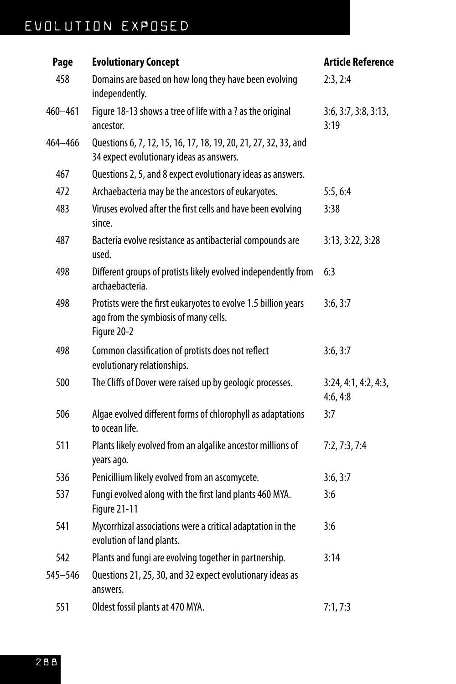| Page    | <b>Evolutionary Concept</b>                                                                                            | <b>Article Reference</b>         |
|---------|------------------------------------------------------------------------------------------------------------------------|----------------------------------|
| 458     | Domains are based on how long they have been evolving<br>independently.                                                | 2:3,2:4                          |
| 460-461 | Figure 18-13 shows a tree of life with a ? as the original<br>ancestor.                                                | 3:6, 3:7, 3:8, 3:13,<br>3:19     |
| 464-466 | Questions 6, 7, 12, 15, 16, 17, 18, 19, 20, 21, 27, 32, 33, and<br>34 expect evolutionary ideas as answers.            |                                  |
| 467     | Questions 2, 5, and 8 expect evolutionary ideas as answers.                                                            |                                  |
| 472     | Archaebacteria may be the ancestors of eukaryotes.                                                                     | 5:5,6:4                          |
| 483     | Viruses evolved after the first cells and have been evolving<br>since.                                                 | 3:38                             |
| 487     | Bacteria evolve resistance as antibacterial compounds are<br>used.                                                     | 3:13, 3:22, 3:28                 |
| 498     | Different groups of protists likely evolved independently from<br>archaebacteria.                                      | 6:3                              |
| 498     | Protists were the first eukaryotes to evolve 1.5 billion years<br>ago from the symbiosis of many cells.<br>Figure 20-2 | 3:6, 3:7                         |
| 498     | Common classification of protists does not reflect<br>evolutionary relationships.                                      | 3:6, 3:7                         |
| 500     | The Cliffs of Dover were raised up by geologic processes.                                                              | 3:24, 4:1, 4:2, 4:3,<br>4:6, 4:8 |
| 506     | Algae evolved different forms of chlorophyll as adaptations<br>to ocean life.                                          | 3:7                              |
| 511     | Plants likely evolved from an algalike ancestor millions of<br>years ago.                                              | 7:2, 7:3, 7:4                    |
| 536     | Penicillium likely evolved from an ascomycete.                                                                         | 3:6, 3:7                         |
| 537     | Fungi evolved along with the first land plants 460 MYA.<br>Figure 21-11                                                | 3:6                              |
| 541     | Mycorrhizal associations were a critical adaptation in the<br>evolution of land plants.                                | 3:6                              |
| 542     | Plants and fungi are evolving together in partnership.                                                                 | 3:14                             |
| 545-546 | Questions 21, 25, 30, and 32 expect evolutionary ideas as<br>answers.                                                  |                                  |
| 551     | Oldest fossil plants at 470 MYA.                                                                                       | 7:1, 7:3                         |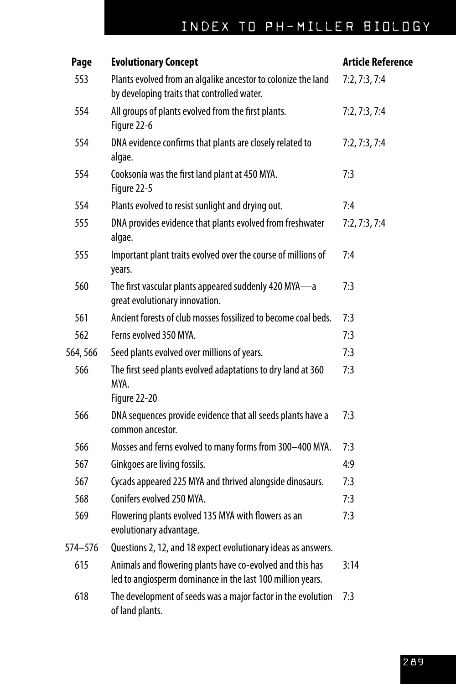| Page    | <b>Evolutionary Concept</b>                                                                                             | <b>Article Reference</b> |
|---------|-------------------------------------------------------------------------------------------------------------------------|--------------------------|
| 553     | Plants evolved from an algalike ancestor to colonize the land<br>by developing traits that controlled water.            | 7:2, 7:3, 7:4            |
| 554     | All groups of plants evolved from the first plants.<br>Figure 22-6                                                      | 7:2, 7:3, 7:4            |
| 554     | DNA evidence confirms that plants are closely related to<br>algae.                                                      | 7:2, 7:3, 7:4            |
| 554     | Cooksonia was the first land plant at 450 MYA.<br>Figure 22-5                                                           | 7:3                      |
| 554     | Plants evolved to resist sunlight and drying out.                                                                       | 7:4                      |
| 555     | DNA provides evidence that plants evolved from freshwater<br>algae.                                                     | 7:2, 7:3, 7:4            |
| 555     | Important plant traits evolved over the course of millions of<br>years.                                                 | 7:4                      |
| 560     | The first vascular plants appeared suddenly 420 MYA-a<br>great evolutionary innovation.                                 | 7:3                      |
| 561     | Ancient forests of club mosses fossilized to become coal beds.                                                          | 7:3                      |
| 562     | Ferns evolved 350 MYA.                                                                                                  | 7:3                      |
| 564,566 | Seed plants evolved over millions of years.                                                                             | 7:3                      |
| 566     | The first seed plants evolved adaptations to dry land at 360<br>MYA.<br>Figure 22-20                                    | 7:3                      |
| 566     | DNA sequences provide evidence that all seeds plants have a<br>common ancestor.                                         | 7:3                      |
| 566     | Mosses and ferns evolved to many forms from 300-400 MYA.                                                                | 7:3                      |
| 567     | Ginkgoes are living fossils.                                                                                            | 4:9                      |
| 567     | Cycads appeared 225 MYA and thrived alongside dinosaurs.                                                                | 7:3                      |
| 568     | Conifers evolved 250 MYA.                                                                                               | 7:3                      |
| 569     | Flowering plants evolved 135 MYA with flowers as an<br>evolutionary advantage.                                          | 7:3                      |
| 574-576 | Questions 2, 12, and 18 expect evolutionary ideas as answers.                                                           |                          |
| 615     | Animals and flowering plants have co-evolved and this has<br>led to angiosperm dominance in the last 100 million years. | 3:14                     |
| 618     | The development of seeds was a major factor in the evolution<br>of land plants.                                         | 7:3                      |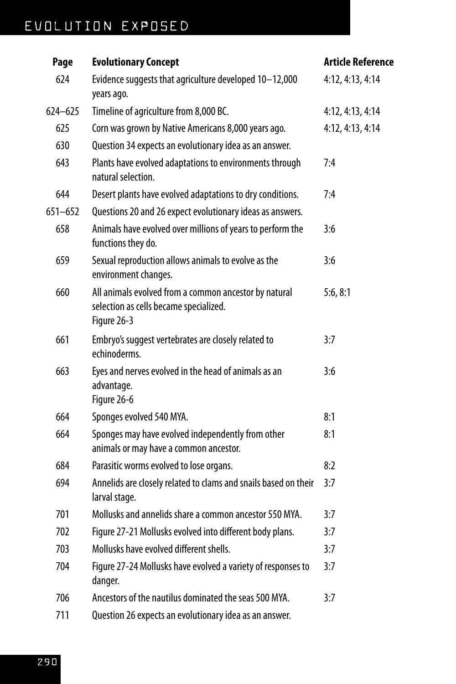| Page        | <b>Evolutionary Concept</b>                                                                                    | <b>Article Reference</b> |
|-------------|----------------------------------------------------------------------------------------------------------------|--------------------------|
| 624         | Evidence suggests that agriculture developed 10-12,000<br>years ago.                                           | 4:12, 4:13, 4:14         |
| $624 - 625$ | Timeline of agriculture from 8,000 BC.                                                                         | 4:12, 4:13, 4:14         |
| 625         | Corn was grown by Native Americans 8,000 years ago.                                                            | 4:12, 4:13, 4:14         |
| 630         | Question 34 expects an evolutionary idea as an answer.                                                         |                          |
| 643         | Plants have evolved adaptations to environments through<br>natural selection.                                  | 7:4                      |
| 644         | Desert plants have evolved adaptations to dry conditions.                                                      | 7:4                      |
| $651 - 652$ | Questions 20 and 26 expect evolutionary ideas as answers.                                                      |                          |
| 658         | Animals have evolved over millions of years to perform the<br>functions they do.                               | 3:6                      |
| 659         | Sexual reproduction allows animals to evolve as the<br>environment changes.                                    | 3:6                      |
| 660         | All animals evolved from a common ancestor by natural<br>selection as cells became specialized.<br>Figure 26-3 | 5:6, 8:1                 |
| 661         | Embryo's suggest vertebrates are closely related to<br>echinoderms.                                            | 3:7                      |
| 663         | Eyes and nerves evolved in the head of animals as an<br>advantage.<br>Figure 26-6                              | 3:6                      |
| 664         | Sponges evolved 540 MYA.                                                                                       | 8:1                      |
| 664         | Sponges may have evolved independently from other<br>animals or may have a common ancestor.                    | 8:1                      |
| 684         | Parasitic worms evolved to lose organs.                                                                        | 8:2                      |
| 694         | Annelids are closely related to clams and snails based on their<br>larval stage.                               | 3:7                      |
| 701         | Mollusks and annelids share a common ancestor 550 MYA.                                                         | 3:7                      |
| 702         | Figure 27-21 Mollusks evolved into different body plans.                                                       | 3:7                      |
| 703         | Mollusks have evolved different shells.                                                                        | 3:7                      |
| 704         | Figure 27-24 Mollusks have evolved a variety of responses to<br>danger.                                        | 3:7                      |
| 706         | Ancestors of the nautilus dominated the seas 500 MYA.                                                          | 3:7                      |
| 711         | Question 26 expects an evolutionary idea as an answer.                                                         |                          |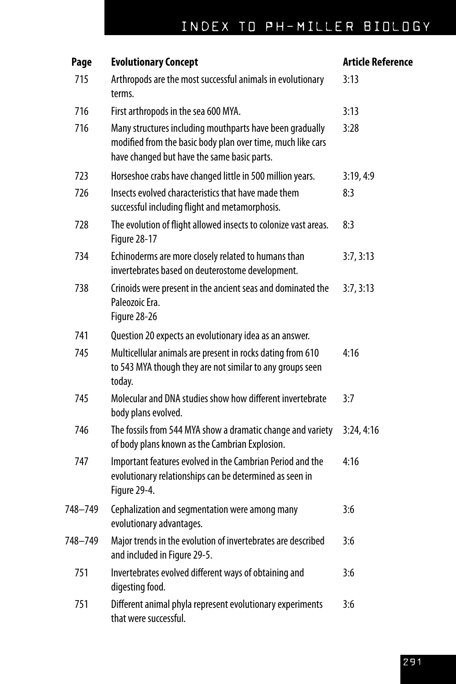| Page    | <b>Evolutionary Concept</b>                                                                                                                                            | <b>Article Reference</b> |
|---------|------------------------------------------------------------------------------------------------------------------------------------------------------------------------|--------------------------|
| 715     | Arthropods are the most successful animals in evolutionary<br>terms.                                                                                                   | 3:13                     |
| 716     | First arthropods in the sea 600 MYA.                                                                                                                                   | 3:13                     |
| 716     | Many structures including mouthparts have been gradually<br>modified from the basic body plan over time, much like cars<br>have changed but have the same basic parts. | 3:28                     |
| 723     | Horseshoe crabs have changed little in 500 million years.                                                                                                              | 3:19,4:9                 |
| 726     | Insects evolved characteristics that have made them<br>successful including flight and metamorphosis.                                                                  | 8:3                      |
| 728     | The evolution of flight allowed insects to colonize vast areas.<br><b>Figure 28-17</b>                                                                                 | 8:3                      |
| 734     | Echinoderms are more closely related to humans than<br>invertebrates based on deuterostome development.                                                                | 3:7,3:13                 |
| 738     | Crinoids were present in the ancient seas and dominated the<br>Paleozoic Era.<br>Figure 28-26                                                                          | 3:7,3:13                 |
| 741     | Question 20 expects an evolutionary idea as an answer.                                                                                                                 |                          |
| 745     | Multicellular animals are present in rocks dating from 610<br>to 543 MYA though they are not similar to any groups seen<br>today.                                      | 4:16                     |
| 745     | Molecular and DNA studies show how different invertebrate<br>body plans evolved.                                                                                       | 3:7                      |
| 746     | The fossils from 544 MYA show a dramatic change and variety<br>of body plans known as the Cambrian Explosion.                                                          | 3:24, 4:16               |
| 747     | Important features evolved in the Cambrian Period and the<br>evolutionary relationships can be determined as seen in<br>Figure 29-4.                                   | 4:16                     |
| 748–749 | Cephalization and segmentation were among many<br>evolutionary advantages.                                                                                             | 3:6                      |
| 748-749 | Major trends in the evolution of invertebrates are described<br>and included in Figure 29-5.                                                                           | 3:6                      |
| 751     | Invertebrates evolved different ways of obtaining and<br>digesting food.                                                                                               | 3:6                      |
| 751     | Different animal phyla represent evolutionary experiments<br>that were successful.                                                                                     | 3:6                      |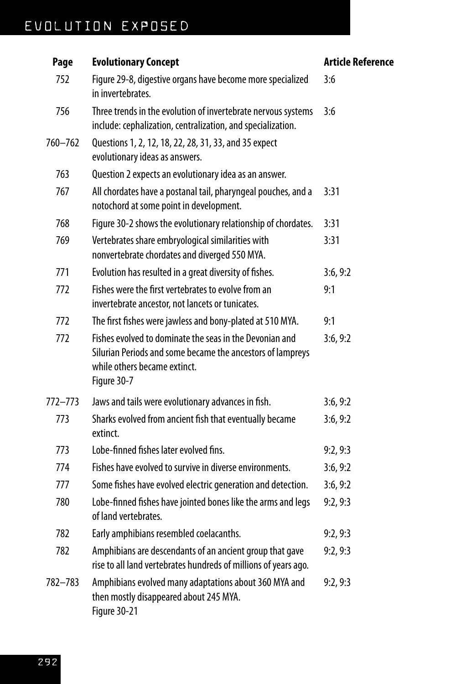| Page        | <b>Evolutionary Concept</b>                                                                                                                                          | <b>Article Reference</b> |
|-------------|----------------------------------------------------------------------------------------------------------------------------------------------------------------------|--------------------------|
| 752         | Figure 29-8, digestive organs have become more specialized<br>in invertebrates.                                                                                      | 3:6                      |
| 756         | Three trends in the evolution of invertebrate nervous systems<br>include: cephalization, centralization, and specialization.                                         | 3:6                      |
| 760-762     | Questions 1, 2, 12, 18, 22, 28, 31, 33, and 35 expect<br>evolutionary ideas as answers.                                                                              |                          |
| 763         | Question 2 expects an evolutionary idea as an answer.                                                                                                                |                          |
| 767         | All chordates have a postanal tail, pharyngeal pouches, and a<br>notochord at some point in development.                                                             | 3:31                     |
| 768         | Figure 30-2 shows the evolutionary relationship of chordates.                                                                                                        | 3:31                     |
| 769         | Vertebrates share embryological similarities with<br>nonvertebrate chordates and diverged 550 MYA.                                                                   | 3:31                     |
| 771         | Evolution has resulted in a great diversity of fishes.                                                                                                               | 3:6, 9:2                 |
| 772         | Fishes were the first vertebrates to evolve from an<br>invertebrate ancestor, not lancets or tunicates.                                                              | 9:1                      |
| 772         | The first fishes were jawless and bony-plated at 510 MYA.                                                                                                            | 9:1                      |
| 772         | Fishes evolved to dominate the seas in the Devonian and<br>Silurian Periods and some became the ancestors of lampreys<br>while others became extinct.<br>Figure 30-7 | 3:6, 9:2                 |
| $772 - 773$ | Jaws and tails were evolutionary advances in fish.                                                                                                                   | 3:6, 9:2                 |
| 773         | Sharks evolved from ancient fish that eventually became<br>extinct.                                                                                                  | 3:6, 9:2                 |
| 773         | Lobe-finned fishes later evolved fins.                                                                                                                               | 9:2,9:3                  |
| 774         | Fishes have evolved to survive in diverse environments.                                                                                                              | 3:6, 9:2                 |
| 777         | Some fishes have evolved electric generation and detection.                                                                                                          | 3:6, 9:2                 |
| 780         | Lobe-finned fishes have jointed bones like the arms and legs<br>of land vertebrates.                                                                                 | 9:2,9:3                  |
| 782         | Early amphibians resembled coelacanths.                                                                                                                              | 9:2,9:3                  |
| 782         | Amphibians are descendants of an ancient group that gave<br>rise to all land vertebrates hundreds of millions of years ago.                                          | 9:2,9:3                  |
| 782-783     | Amphibians evolved many adaptations about 360 MYA and<br>then mostly disappeared about 245 MYA.<br>Figure 30-21                                                      | 9:2,9:3                  |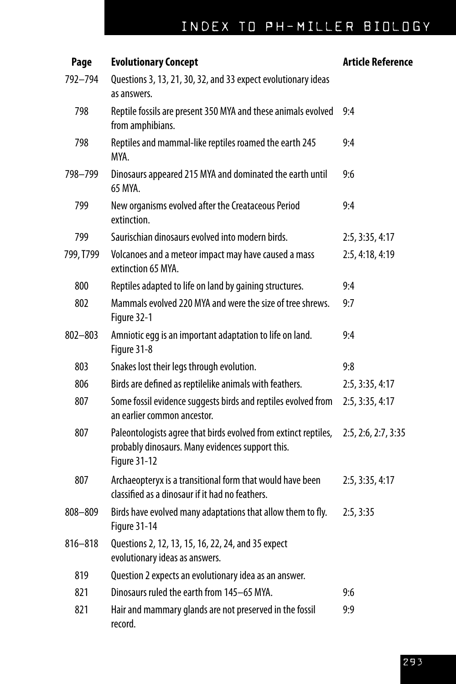| Page        | <b>Evolutionary Concept</b>                                                                                                                | <b>Article Reference</b> |
|-------------|--------------------------------------------------------------------------------------------------------------------------------------------|--------------------------|
| 792-794     | Questions 3, 13, 21, 30, 32, and 33 expect evolutionary ideas<br>as answers.                                                               |                          |
| 798         | Reptile fossils are present 350 MYA and these animals evolved<br>from amphibians.                                                          | 9:4                      |
| 798         | Reptiles and mammal-like reptiles roamed the earth 245<br>MYA.                                                                             | 9:4                      |
| 798-799     | Dinosaurs appeared 215 MYA and dominated the earth until<br>65 MYA.                                                                        | 9:6                      |
| 799         | New organisms evolved after the Creataceous Period<br>extinction.                                                                          | 9:4                      |
| 799         | Saurischian dinosaurs evolved into modern birds.                                                                                           | 2:5, 3:35, 4:17          |
| 799, T799   | Volcanoes and a meteor impact may have caused a mass<br>extinction 65 MYA.                                                                 | 2:5, 4:18, 4:19          |
| 800         | Reptiles adapted to life on land by gaining structures.                                                                                    | 9:4                      |
| 802         | Mammals evolved 220 MYA and were the size of tree shrews.<br>Figure 32-1                                                                   | 9:7                      |
| $802 - 803$ | Amniotic egg is an important adaptation to life on land.<br>Figure 31-8                                                                    | 9:4                      |
| 803         | Snakes lost their legs through evolution.                                                                                                  | 9:8                      |
| 806         | Birds are defined as reptilelike animals with feathers.                                                                                    | 2:5, 3:35, 4:17          |
| 807         | Some fossil evidence suggests birds and reptiles evolved from<br>an earlier common ancestor.                                               | 2:5, 3:35, 4:17          |
| 807         | Paleontologists agree that birds evolved from extinct reptiles,<br>probably dinosaurs. Many evidences support this.<br><b>Figure 31-12</b> | 2:5, 2:6, 2:7, 3:35      |
| 807         | Archaeopteryx is a transitional form that would have been<br>classified as a dinosaur if it had no feathers.                               | 2:5, 3:35, 4:17          |
| 808-809     | Birds have evolved many adaptations that allow them to fly.<br><b>Figure 31-14</b>                                                         | 2:5, 3:35                |
| $816 - 818$ | Questions 2, 12, 13, 15, 16, 22, 24, and 35 expect<br>evolutionary ideas as answers.                                                       |                          |
| 819         | Question 2 expects an evolutionary idea as an answer.                                                                                      |                          |
| 821         | Dinosaurs ruled the earth from 145-65 MYA.                                                                                                 | 9:6                      |
| 821         | Hair and mammary glands are not preserved in the fossil<br>record.                                                                         | 9:9                      |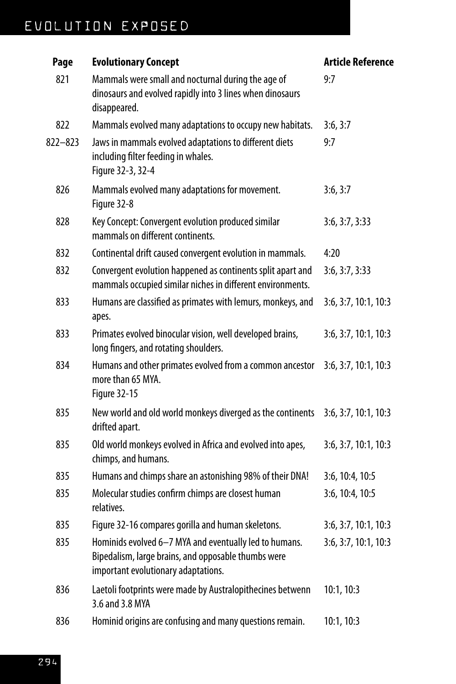| Page        | <b>Evolutionary Concept</b>                                                                                                                          | <b>Article Reference</b> |
|-------------|------------------------------------------------------------------------------------------------------------------------------------------------------|--------------------------|
| 821         | Mammals were small and nocturnal during the age of<br>dinosaurs and evolved rapidly into 3 lines when dinosaurs<br>disappeared.                      | 9:7                      |
| 822         | Mammals evolved many adaptations to occupy new habitats.                                                                                             | 3:6, 3:7                 |
| $822 - 823$ | Jaws in mammals evolved adaptations to different diets<br>including filter feeding in whales.<br>Figure 32-3, 32-4                                   | 9:7                      |
| 826         | Mammals evolved many adaptations for movement.<br>Figure 32-8                                                                                        | 3:6, 3:7                 |
| 828         | Key Concept: Convergent evolution produced similar<br>mammals on different continents.                                                               | 3:6, 3:7, 3:33           |
| 832         | Continental drift caused convergent evolution in mammals.                                                                                            | 4:20                     |
| 832         | Convergent evolution happened as continents split apart and<br>mammals occupied similar niches in different environments.                            | 3:6, 3:7, 3:33           |
| 833         | Humans are classified as primates with lemurs, monkeys, and<br>apes.                                                                                 | 3:6, 3:7, 10:1, 10:3     |
| 833         | Primates evolved binocular vision, well developed brains,<br>long fingers, and rotating shoulders.                                                   | 3:6, 3:7, 10:1, 10:3     |
| 834         | Humans and other primates evolved from a common ancestor<br>more than 65 MYA.<br><b>Figure 32-15</b>                                                 | 3:6, 3:7, 10:1, 10:3     |
| 835         | New world and old world monkeys diverged as the continents<br>drifted apart.                                                                         | 3:6, 3:7, 10:1, 10:3     |
| 835         | Old world monkeys evolved in Africa and evolved into apes,<br>chimps, and humans.                                                                    | 3:6, 3:7, 10:1, 10:3     |
| 835         | Humans and chimps share an astonishing 98% of their DNA!                                                                                             | 3:6, 10:4, 10:5          |
| 835         | Molecular studies confirm chimps are closest human<br>relatives.                                                                                     | 3:6, 10:4, 10:5          |
| 835         | Figure 32-16 compares gorilla and human skeletons.                                                                                                   | 3:6, 3:7, 10:1, 10:3     |
| 835         | Hominids evolved 6-7 MYA and eventually led to humans.<br>Bipedalism, large brains, and opposable thumbs were<br>important evolutionary adaptations. | 3:6, 3:7, 10:1, 10:3     |
| 836         | Laetoli footprints were made by Australopithecines betwenn<br>3.6 and 3.8 MYA                                                                        | 10:1, 10:3               |
| 836         | Hominid origins are confusing and many questions remain.                                                                                             | 10:1, 10:3               |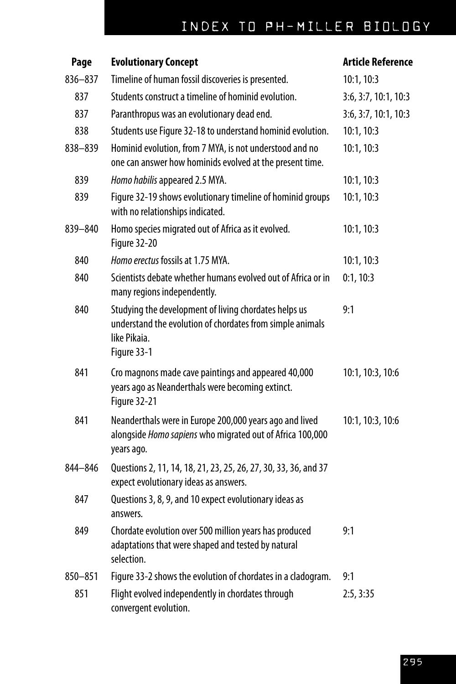| Page    | <b>Evolutionary Concept</b>                                                                                                                       | <b>Article Reference</b> |
|---------|---------------------------------------------------------------------------------------------------------------------------------------------------|--------------------------|
| 836-837 | Timeline of human fossil discoveries is presented.                                                                                                | 10:1, 10:3               |
| 837     | Students construct a timeline of hominid evolution.                                                                                               | 3:6, 3:7, 10:1, 10:3     |
| 837     | Paranthropus was an evolutionary dead end.                                                                                                        | 3:6, 3:7, 10:1, 10:3     |
| 838     | Students use Figure 32-18 to understand hominid evolution.                                                                                        | 10:1, 10:3               |
| 838-839 | Hominid evolution, from 7 MYA, is not understood and no<br>one can answer how hominids evolved at the present time.                               | 10:1, 10:3               |
| 839     | Homo habilis appeared 2.5 MYA.                                                                                                                    | 10:1, 10:3               |
| 839     | Figure 32-19 shows evolutionary timeline of hominid groups<br>with no relationships indicated.                                                    | 10:1, 10:3               |
| 839-840 | Homo species migrated out of Africa as it evolved.<br>Figure 32-20                                                                                | 10:1, 10:3               |
| 840     | Homo erectus fossils at 1.75 MYA.                                                                                                                 | 10:1, 10:3               |
| 840     | Scientists debate whether humans evolved out of Africa or in<br>many regions independently.                                                       | 0:1, 10:3                |
| 840     | Studying the development of living chordates helps us<br>understand the evolution of chordates from simple animals<br>like Pikaia.<br>Figure 33-1 | 9:1                      |
| 841     | Cro magnons made cave paintings and appeared 40,000<br>years ago as Neanderthals were becoming extinct.<br><b>Figure 32-21</b>                    | 10:1, 10:3, 10:6         |
| 841     | Neanderthals were in Europe 200,000 years ago and lived<br>alongside Homo sapiens who migrated out of Africa 100,000<br>years ago.                | 10:1, 10:3, 10:6         |
| 844-846 | Questions 2, 11, 14, 18, 21, 23, 25, 26, 27, 30, 33, 36, and 37<br>expect evolutionary ideas as answers.                                          |                          |
| 847     | Questions 3, 8, 9, and 10 expect evolutionary ideas as<br>answers.                                                                                |                          |
| 849     | Chordate evolution over 500 million years has produced<br>adaptations that were shaped and tested by natural<br>selection.                        | 9:1                      |
| 850-851 | Figure 33-2 shows the evolution of chordates in a cladogram.                                                                                      | 9:1                      |
| 851     | Flight evolved independently in chordates through<br>convergent evolution.                                                                        | 2:5, 3:35                |